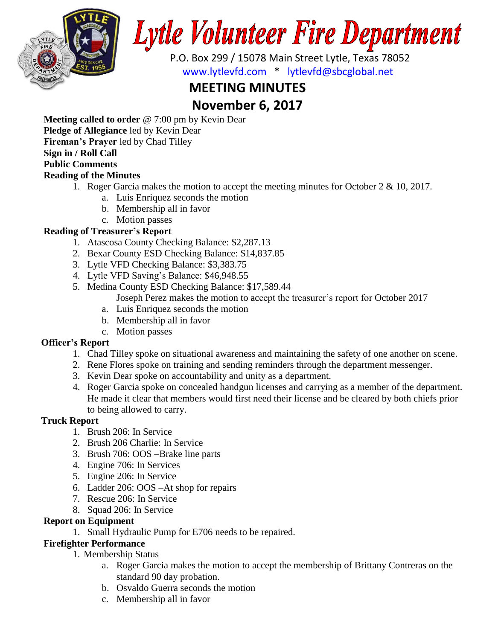

Lytle Volunteer Fire Department

 P.O. Box 299 / 15078 Main Street Lytle, Texas 78052 [www.lytlevfd.com](http://www.lytlevfd.com/) \* [lytlevfd@sbcglobal.net](mailto:lytlevfd@sbcglobal.net)

# **MEETING MINUTES**

# **November 6, 2017**

**Meeting called to order** @ 7:00 pm by Kevin Dear

**Pledge of Allegiance** led by Kevin Dear

**Fireman's Prayer** led by Chad Tilley

## **Sign in / Roll Call**

# **Public Comments**

## **Reading of the Minutes**

- 1. Roger Garcia makes the motion to accept the meeting minutes for October 2 & 10, 2017.
	- a. Luis Enriquez seconds the motion
	- b. Membership all in favor
	- c. Motion passes
- **Reading of Treasurer's Report**
	- 1. Atascosa County Checking Balance: \$2,287.13
	- 2. Bexar County ESD Checking Balance: \$14,837.85
	- 3. Lytle VFD Checking Balance: \$3,383.75
	- 4. Lytle VFD Saving's Balance: \$46,948.55
	- 5. Medina County ESD Checking Balance: \$17,589.44
		- Joseph Perez makes the motion to accept the treasurer's report for October 2017
		- a. Luis Enriquez seconds the motion
		- b. Membership all in favor
		- c. Motion passes

## **Officer's Report**

- 1. Chad Tilley spoke on situational awareness and maintaining the safety of one another on scene.
- 2. Rene Flores spoke on training and sending reminders through the department messenger.
- 3. Kevin Dear spoke on accountability and unity as a department.
- 4. Roger Garcia spoke on concealed handgun licenses and carrying as a member of the department. He made it clear that members would first need their license and be cleared by both chiefs prior to being allowed to carry.

## **Truck Report**

- 1. Brush 206: In Service
- 2. Brush 206 Charlie: In Service
- 3. Brush 706: OOS –Brake line parts
- 4. Engine 706: In Services
- 5. Engine 206: In Service
- 6. Ladder 206: OOS –At shop for repairs
- 7. Rescue 206: In Service
- 8. Squad 206: In Service

## **Report on Equipment**

1. Small Hydraulic Pump for E706 needs to be repaired.

## **Firefighter Performance**

- 1. Membership Status
	- a. Roger Garcia makes the motion to accept the membership of Brittany Contreras on the standard 90 day probation.
	- b. Osvaldo Guerra seconds the motion
	- c. Membership all in favor